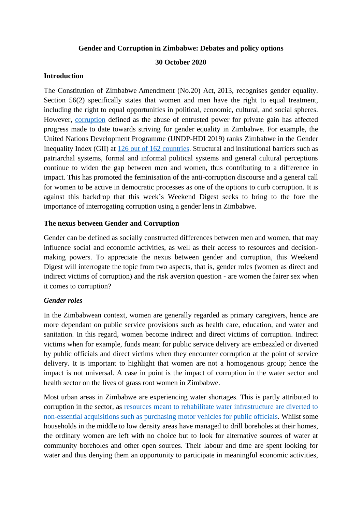#### **Gender and Corruption in Zimbabwe: Debates and policy options**

## **30 October 2020**

## **Introduction**

The Constitution of Zimbabwe Amendment (No.20) Act, 2013, recognises gender equality. Section 56(2) specifically states that women and men have the right to equal treatment, including the right to equal opportunities in political, economic, cultural, and social spheres. However, [corruption](https://www.transparency.org/en/what-is-corruption) defined as the abuse of entrusted power for private gain has affected progress made to date towards striving for gender equality in Zimbabwe. For example, the United Nations Development Programme (UNDP-HDI 2019) ranks Zimbabwe in the Gender Inequality Index (GII) at [126 out of 162 countries.](http://hdr.undp.org/sites/all/themes/hdr_theme/country-notes/ZWE.pdf) Structural and institutional barriers such as patriarchal systems, formal and informal political systems and general cultural perceptions continue to widen the gap between men and women, thus contributing to a difference in impact. This has promoted the feminisation of the anti-corruption discourse and a general call for women to be active in democratic processes as one of the options to curb corruption. It is against this backdrop that this week's Weekend Digest seeks to bring to the fore the importance of interrogating corruption using a gender lens in Zimbabwe.

### **The nexus between Gender and Corruption**

Gender can be defined as socially constructed differences between men and women, that may influence social and economic activities, as well as their access to resources and decisionmaking powers. To appreciate the nexus between gender and corruption, this Weekend Digest will interrogate the topic from two aspects, that is, gender roles (women as direct and indirect victims of corruption) and the risk aversion question - are women the fairer sex when it comes to corruption?

# *Gender roles*

In the Zimbabwean context, women are generally regarded as primary caregivers, hence are more dependant on public service provisions such as health care, education, and water and sanitation. In this regard, women become indirect and direct victims of corruption. Indirect victims when for example, funds meant for public service delivery are embezzled or diverted by public officials and direct victims when they encounter corruption at the point of service delivery. It is important to highlight that women are not a homogenous group; hence the impact is not universal. A case in point is the impact of corruption in the water sector and health sector on the lives of grass root women in Zimbabwe.

Most urban areas in Zimbabwe are experiencing water shortages. This is partly attributed to corruption in the sector, as [resources meant to rehabilitate water infrastructure are diverted to](https://www.newsday.co.zw/2014/05/harare-city-council-loan-misuse-act-corruption/)  [non-essential acquisitions such as purchasing motor vehicles for public officials.](https://www.newsday.co.zw/2014/05/harare-city-council-loan-misuse-act-corruption/) Whilst some households in the middle to low density areas have managed to drill boreholes at their homes, the ordinary women are left with no choice but to look for alternative sources of water at community boreholes and other open sources. Their labour and time are spent looking for water and thus denying them an opportunity to participate in meaningful economic activities,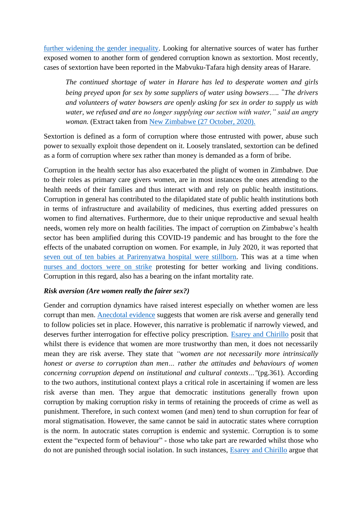[further widening the gender inequality.](http://www.tizim.org/wp-content/uploads/2020/07/Gender-and-Corruption-in-Zimbabwe-2019.pdf) Looking for alternative sources of water has further exposed women to another form of gendered corruption known as sextortion. Most recently, cases of sextortion have been reported in the Mabvuku-Tafara high density areas of Harare.

*The continued shortage of water in Harare has led to desperate women and girls being preyed upon for sex by some suppliers of water using bowsers…..* "*The drivers and volunteers of water bowsers are openly asking for sex in order to supply us with water, we refused and are no longer supplying our section with water," said an angry woman.* (Extract taken from [New Zimbabwe \(27 October, 2020\).](https://www.newzimbabwe.com/sex-for-water-in-mabvuku-tafara/)

Sextortion is defined as a form of corruption where those entrusted with power, abuse such power to sexually exploit those dependent on it. Loosely translated, sextortion can be defined as a form of corruption where sex rather than money is demanded as a form of bribe.

Corruption in the health sector has also exacerbated the plight of women in Zimbabwe. Due to their roles as primary care givers women, are in most instances the ones attending to the health needs of their families and thus interact with and rely on public health institutions. Corruption in general has contributed to the dilapidated state of public health institutions both in terms of infrastructure and availability of medicines, thus exerting added pressures on women to find alternatives. Furthermore, due to their unique reproductive and sexual health needs, women rely more on health facilities. The impact of corruption on Zimbabwe's health sector has been amplified during this COVID-19 pandemic and has brought to the fore the effects of the unabated corruption on women. For example, in July 2020, it was reported that [seven out of ten babies at Parirenyatwa hospital were stillborn.](https://www.bbc.com/news/world-africa-53580559) This was at a time when [nurses and doctors were on strike](https://www.bloomberg.com/news/articles/2020-06-18/zimbabwe-doctors-nurses-to-strike-over-demand-for-higher-pay) protesting for better working and living conditions. Corruption in this regard, also has a bearing on the infant mortality rate.

#### *Risk aversion (Are women really the fairer sex?)*

Gender and corruption dynamics have raised interest especially on whether women are less corrupt than men. [Anecdotal](https://www.sciencedirect.com/science/article/abs/pii/S016726810100169X) evidence suggests that women are risk averse and generally tend to follow policies set in place. However, this narrative is problematic if narrowly viewed, and deserves further interrogation for effective policy prescription. [Esarey and Chirillo](https://www.researchgate.net/publication/259438093_Fairer_Sex_or_Purity_Myth_Corruption_Gender_and_Institutional_Context) posit that whilst there is evidence that women are more trustworthy than men, it does not necessarily mean they are risk averse. They state that *"women are not necessarily more intrinsically honest or averse to corruption than men… rather the attitudes and behaviours of women concerning corruption depend on institutional and cultural contexts…"*(pg.361). According to the two authors, institutional context plays a critical role in ascertaining if women are less risk averse than men. They argue that democratic institutions generally frown upon corruption by making corruption risky in terms of retaining the proceeds of crime as well as punishment. Therefore, in such context women (and men) tend to shun corruption for fear of moral stigmatisation. However, the same cannot be said in autocratic states where corruption is the norm. In autocratic states corruption is endemic and systemic. Corruption is to some extent the "expected form of behaviour" - those who take part are rewarded whilst those who do not are punished through social isolation. In such instances, [Esarey and Chirillo](https://www.researchgate.net/publication/259438093_Fairer_Sex_or_Purity_Myth_Corruption_Gender_and_Institutional_Context) argue that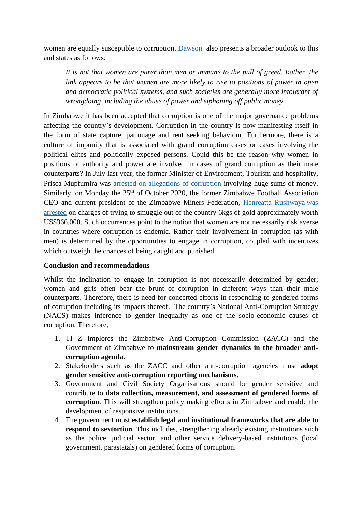women are equally susceptible to corruption. [Dawson](https://www.reuters.com/article/us-women-leaders-corruption-idUSBRE8B306O20121204) also presents a broader outlook to this and states as follows:

*It is not that women are purer than men or immune to the pull of greed. Rather, the link appears to be that women are more likely to rise to positions of power in open and democratic political systems, and such societies are generally more intolerant of wrongdoing, including the abuse of power and siphoning off public money.*

In Zimbabwe it has been accepted that corruption is one of the major governance problems affecting the country's development. Corruption in the country is now manifesting itself in the form of state capture, patronage and rent seeking behaviour. Furthermore, there is a culture of impunity that is associated with grand corruption cases or cases involving the political elites and politically exposed persons. Could this be the reason why women in positions of authority and power are involved in cases of grand corruption as their male counterparts? In July last year, the former Minister of Environment, Tourism and hospitality, Prisca Mupfumira was [arrested on allegations of corruption](https://businesstimes.co.zw/tourism-minister-prisca-mupfumira-arrested/) involving huge sums of money. Similarly, on Monday the  $25<sup>th</sup>$  of October 2020, the former Zimbabwe Football Association CEO and current president of the Zimbabwe Miners Federation, [Henreatta Rushwaya](https://www.thezimbabwemail.com/main/henrietta-rushwaya-arrested-at-harare-int-airport-for-gold-smuggling/) was [arrested](https://www.thezimbabwemail.com/main/henrietta-rushwaya-arrested-at-harare-int-airport-for-gold-smuggling/) on charges of trying to smuggle out of the country 6kgs of gold approximately worth US\$366,000. Such occurrences point to the notion that women are not necessarily risk averse in countries where corruption is endemic. Rather their involvement in corruption (as with men) is determined by the opportunities to engage in corruption, coupled with incentives which outweigh the chances of being caught and punished.

# **Conclusion and recommendations**

Whilst the inclination to engage in corruption is not necessarily determined by gender; women and girls often bear the brunt of corruption in different ways than their male counterparts. Therefore, there is need for concerted efforts in responding to gendered forms of corruption including its impacts thereof. The country's National Anti-Corruption Strategy (NACS) makes inference to gender inequality as one of the socio-economic causes of corruption. Therefore,

- 1. TI Z Implores the Zimbabwe Anti-Corruption Commission (ZACC) and the Government of Zimbabwe to **mainstream gender dynamics in the broader anticorruption agenda**.
- 2. Stakeholders such as the ZACC and other anti-corruption agencies must **adopt gender sensitive anti-corruption reporting mechanisms**.
- 3. Government and Civil Society Organisations should be gender sensitive and contribute to **data collection, measurement, and assessment of gendered forms of corruption**. This will strengthen policy making efforts in Zimbabwe and enable the development of responsive institutions.
- 4. The government must **establish legal and institutional frameworks that are able to respond to sextortion**. This includes, strengthening already existing institutions such as the police, judicial sector, and other service delivery-based institutions (local government, parastatals) on gendered forms of corruption.